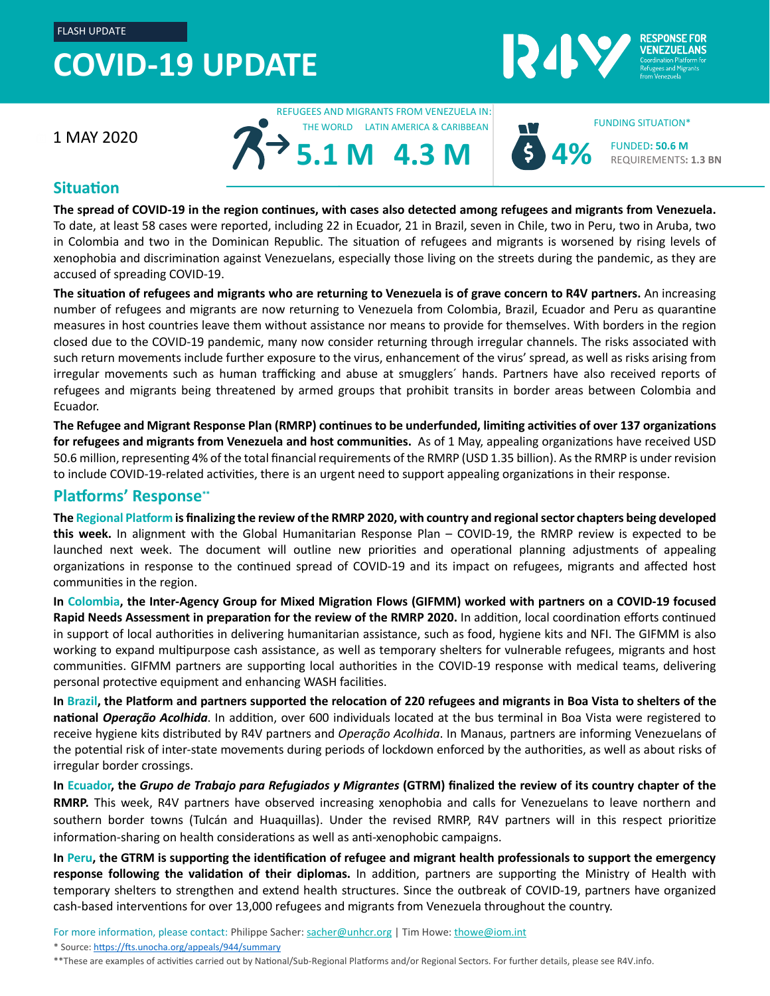## **COVID-19 UPDATE**



1 MAY 2020

REFUGEES AND MIGRANTS FROM VENEZUELA IN: THE WORLD LATIN AMERICA & CARIBBEAN

**5.1 M**



FUNDED**: 50.6 M** REQUIREMENTS**: 1.3 BN**

FUNDING SITUATION\*

## **Situation**

**The spread of COVID-19 in the region continues, with cases also detected among refugees and migrants from Venezuela.** To date, at least 58 cases were reported, including 22 in Ecuador, 21 in Brazil, seven in Chile, two in Peru, two in Aruba, two in Colombia and two in the Dominican Republic. The situation of refugees and migrants is worsened by rising levels of xenophobia and discrimination against Venezuelans, especially those living on the streets during the pandemic, as they are accused of spreading COVID-19.

**4.3 M**

**The situation of refugees and migrants who are returning to Venezuela is of grave concern to R4V partners.** An increasing number of refugees and migrants are now returning to Venezuela from Colombia, Brazil, Ecuador and Peru as quarantine measures in host countries leave them without assistance nor means to provide for themselves. With borders in the region closed due to the COVID-19 pandemic, many now consider returning through irregular channels. The risks associated with such return movements include further exposure to the virus, enhancement of the virus' spread, as well as risks arising from irregular movements such as human trafficking and abuse at smugglers´ hands. Partners have also received reports of refugees and migrants being threatened by armed groups that prohibit transits in border areas between Colombia and Ecuador.

**The Refugee and Migrant Response Plan (RMRP) continues to be underfunded, limiting activities of over 137 organizations for refugees and migrants from Venezuela and host communities.** As of 1 May, appealing organizations have received USD 50.6 million, representing 4% of the total financial requirements of the RMRP (USD 1.35 billion). As the RMRP is under revision to include COVID-19-related activities, there is an urgent need to support appealing organizations in their response.

## **Platforms' Response\*\***

**The Regional Platform is finalizing the review of the RMRP 2020, with country and regional sector chapters being developed this week.** In alignment with the Global Humanitarian Response Plan – COVID-19, the RMRP review is expected to be launched next week. The document will outline new priorities and operational planning adjustments of appealing organizations in response to the continued spread of COVID-19 and its impact on refugees, migrants and affected host communities in the region.

**In Colombia, the Inter-Agency Group for Mixed Migration Flows (GIFMM) worked with partners on a COVID-19 focused Rapid Needs Assessment in preparation for the review of the RMRP 2020.** In addition, local coordination efforts continued in support of local authorities in delivering humanitarian assistance, such as food, hygiene kits and NFI. The GIFMM is also working to expand multipurpose cash assistance, as well as temporary shelters for vulnerable refugees, migrants and host communities. GIFMM partners are supporting local authorities in the COVID-19 response with medical teams, delivering personal protective equipment and enhancing WASH facilities.

**In Brazil, the Platform and partners supported the relocation of 220 refugees and migrants in Boa Vista to shelters of the national** *Operação Acolhida*. In addition, over 600 individuals located at the bus terminal in Boa Vista were registered to receive hygiene kits distributed by R4V partners and *Operação Acolhida*. In Manaus, partners are informing Venezuelans of the potential risk of inter-state movements during periods of lockdown enforced by the authorities, as well as about risks of irregular border crossings.

**In Ecuador, the** *Grupo de Trabajo para Refugiados y Migrantes* **(GTRM) finalized the review of its country chapter of the RMRP.** This week, R4V partners have observed increasing xenophobia and calls for Venezuelans to leave northern and southern border towns (Tulcán and Huaquillas). Under the revised RMRP, R4V partners will in this respect prioritize information-sharing on health considerations as well as anti-xenophobic campaigns.

**In Peru, the GTRM is supporting the identification of refugee and migrant health professionals to support the emergency response following the validation of their diplomas.** In addition, partners are supporting the Ministry of Health with temporary shelters to strengthen and extend health structures. Since the outbreak of COVID-19, partners have organized cash-based interventions for over 13,000 refugees and migrants from Venezuela throughout the country.

For more information, please contact: Philippe Sacher: [sacher@unhcr.org](mailto:sacher@unhcr.org) | Tim Howe[: thowe@iom.int](mailto:thowe@iom.int)

\* Source[: https://fts.unocha.org/appeals/944/summary](https://fts.unocha.org/appeals/944/summary)

\*\*These are examples of activities carried out by National/Sub-Regional Platforms and/or Regional Sectors. For further details, please see R4V.info.